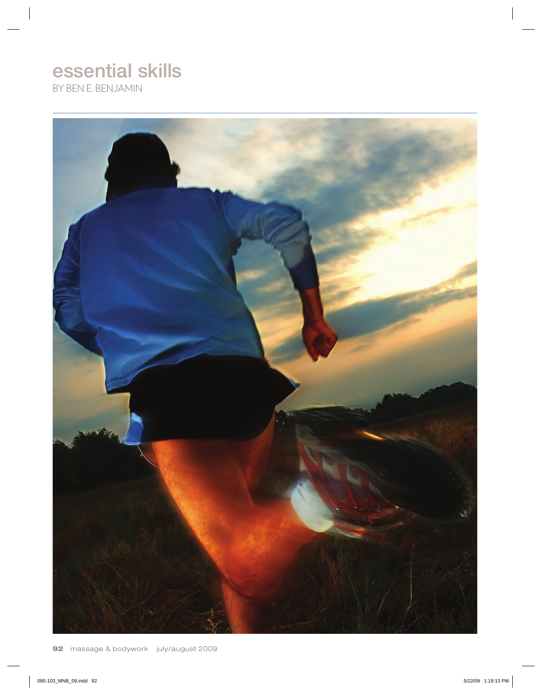# essential skills

By Ben E. Benjamin

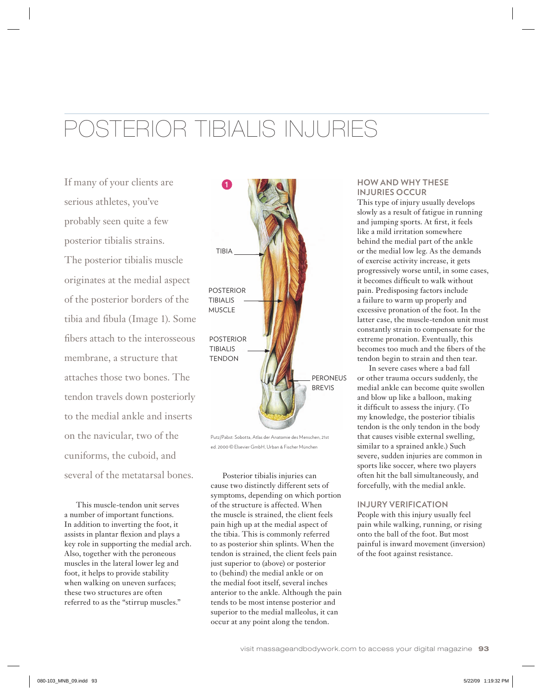# Posterior Tibialis Injuries

If many of your clients are serious athletes, you've probably seen quite a few posterior tibialis strains. The posterior tibialis muscle originates at the medial aspect of the posterior borders of the tibia and fibula (Image 1). Some fibers attach to the interosseous membrane, a structure that attaches those two bones. The tendon travels down posteriorly to the medial ankle and inserts on the navicular, two of the cuniforms, the cuboid, and several of the metatarsal bones.

This muscle-tendon unit serves a number of important functions. In addition to inverting the foot, it assists in plantar flexion and plays a key role in supporting the medial arch. Also, together with the peroneous muscles in the lateral lower leg and foot, it helps to provide stability when walking on uneven surfaces; these two structures are often referred to as the "stirrup muscles."



Putz/Pabst: Sobotta, Atlas der Anatomie des Menschen, 21st ed. 2000 © Elsevier GmbH, Urban & Fischer München

Posterior tibialis injuries can cause two distinctly different sets of symptoms, depending on which portion of the structure is affected. When the muscle is strained, the client feels pain high up at the medial aspect of the tibia. This is commonly referred to as posterior shin splints. When the tendon is strained, the client feels pain just superior to (above) or posterior to (behind) the medial ankle or on the medial foot itself, several inches anterior to the ankle. Although the pain tends to be most intense posterior and superior to the medial malleolus, it can occur at any point along the tendon.

# **How and Why These Injuries Occur**

This type of injury usually develops slowly as a result of fatigue in running and jumping sports. At first, it feels like a mild irritation somewhere behind the medial part of the ankle or the medial low leg. As the demands of exercise activity increase, it gets progressively worse until, in some cases, it becomes difficult to walk without pain. Predisposing factors include a failure to warm up properly and excessive pronation of the foot. In the latter case, the muscle-tendon unit must constantly strain to compensate for the extreme pronation. Eventually, this becomes too much and the fibers of the tendon begin to strain and then tear.

In severe cases where a bad fall or other trauma occurs suddenly, the medial ankle can become quite swollen and blow up like a balloon, making it difficult to assess the injury. (To my knowledge, the posterior tibialis tendon is the only tendon in the body that causes visible external swelling, similar to a sprained ankle.) Such severe, sudden injuries are common in sports like soccer, where two players often hit the ball simultaneously, and forcefully, with the medial ankle.

# **Injury Verification**

People with this injury usually feel pain while walking, running, or rising onto the ball of the foot. But most painful is inward movement (inversion) of the foot against resistance.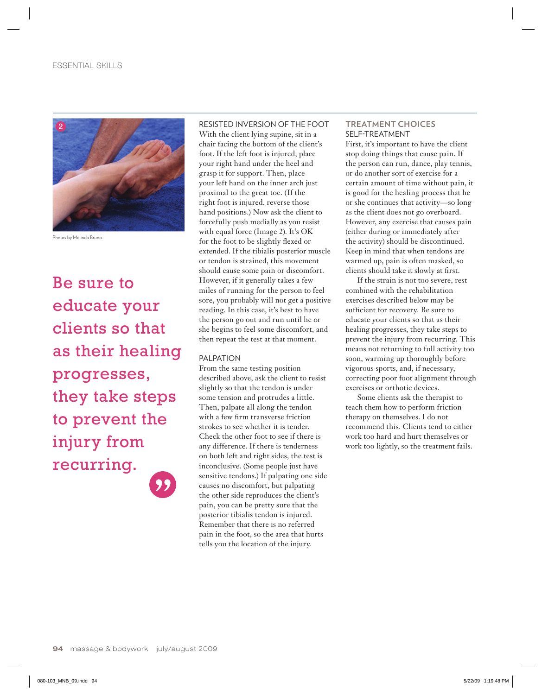

Photos by Melinda Bruno.

Be sure to educate your clients so that as their healing progresses, they take steps to prevent the injury from recurring.

RESISTED INVERSION OF THE FOOT With the client lying supine, sit in a chair facing the bottom of the client's foot. If the left foot is injured, place your right hand under the heel and grasp it for support. Then, place your left hand on the inner arch just proximal to the great toe. (If the right foot is injured, reverse those hand positions.) Now ask the client to forcefully push medially as you resist with equal force (Image 2). It's OK for the foot to be slightly flexed or extended. If the tibialis posterior muscle or tendon is strained, this movement should cause some pain or discomfort. However, if it generally takes a few miles of running for the person to feel sore, you probably will not get a positive reading. In this case, it's best to have the person go out and run until he or she begins to feel some discomfort, and then repeat the test at that moment.

# PALPATION

From the same testing position described above, ask the client to resist slightly so that the tendon is under some tension and protrudes a little. Then, palpate all along the tendon with a few firm transverse friction strokes to see whether it is tender. Check the other foot to see if there is any difference. If there is tenderness on both left and right sides, the test is inconclusive. (Some people just have sensitive tendons.) If palpating one side causes no discomfort, but palpating the other side reproduces the client's pain, you can be pretty sure that the posterior tibialis tendon is injured. Remember that there is no referred pain in the foot, so the area that hurts tells you the location of the injury.

# **TREATMENT CHOICES** SELF-TREATMENT

First, it's important to have the client stop doing things that cause pain. If the person can run, dance, play tennis, or do another sort of exercise for a certain amount of time without pain, it is good for the healing process that he or she continues that activity—so long as the client does not go overboard. However, any exercise that causes pain (either during or immediately after the activity) should be discontinued. Keep in mind that when tendons are warmed up, pain is often masked, so clients should take it slowly at first.

If the strain is not too severe, rest combined with the rehabilitation exercises described below may be sufficient for recovery. Be sure to educate your clients so that as their healing progresses, they take steps to prevent the injury from recurring. This means not returning to full activity too soon, warming up thoroughly before vigorous sports, and, if necessary, correcting poor foot alignment through exercises or orthotic devices.

Some clients ask the therapist to teach them how to perform friction therapy on themselves. I do not recommend this. Clients tend to either work too hard and hurt themselves or work too lightly, so the treatment fails.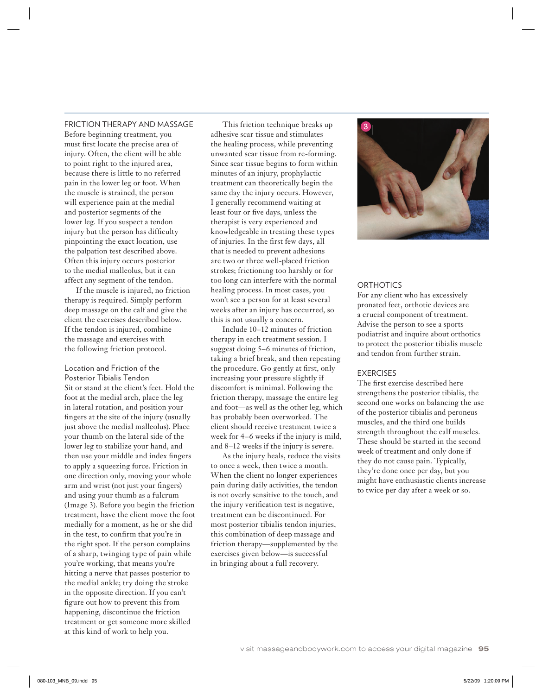#### FRICTION THERAPY AND MASSAGE

Before beginning treatment, you must first locate the precise area of injury. Often, the client will be able to point right to the injured area, because there is little to no referred pain in the lower leg or foot. When the muscle is strained, the person will experience pain at the medial and posterior segments of the lower leg. If you suspect a tendon injury but the person has difficulty pinpointing the exact location, use the palpation test described above. Often this injury occurs posterior to the medial malleolus, but it can affect any segment of the tendon.

If the muscle is injured, no friction therapy is required. Simply perform deep massage on the calf and give the client the exercises described below. If the tendon is injured, combine the massage and exercises with the following friction protocol.

Location and Friction of the Posterior Tibialis Tendon Sit or stand at the client's feet. Hold the foot at the medial arch, place the leg in lateral rotation, and position your fingers at the site of the injury (usually just above the medial malleolus). Place your thumb on the lateral side of the lower leg to stabilize your hand, and then use your middle and index fingers to apply a squeezing force. Friction in one direction only, moving your whole arm and wrist (not just your fingers) and using your thumb as a fulcrum (Image 3). Before you begin the friction treatment, have the client move the foot medially for a moment, as he or she did in the test, to confirm that you're in the right spot. If the person complains of a sharp, twinging type of pain while you're working, that means you're hitting a nerve that passes posterior to the medial ankle; try doing the stroke in the opposite direction. If you can't figure out how to prevent this from happening, discontinue the friction treatment or get someone more skilled at this kind of work to help you.

This friction technique breaks up adhesive scar tissue and stimulates the healing process, while preventing unwanted scar tissue from re-forming. Since scar tissue begins to form within minutes of an injury, prophylactic treatment can theoretically begin the same day the injury occurs. However, I generally recommend waiting at least four or five days, unless the therapist is very experienced and knowledgeable in treating these types of injuries. In the first few days, all that is needed to prevent adhesions are two or three well-placed friction strokes; frictioning too harshly or for too long can interfere with the normal healing process. In most cases, you won't see a person for at least several weeks after an injury has occurred, so this is not usually a concern.

Include 10–12 minutes of friction therapy in each treatment session. I suggest doing 5–6 minutes of friction, taking a brief break, and then repeating the procedure. Go gently at first, only increasing your pressure slightly if discomfort is minimal. Following the friction therapy, massage the entire leg and foot—as well as the other leg, which has probably been overworked. The client should receive treatment twice a week for 4–6 weeks if the injury is mild, and 8–12 weeks if the injury is severe.

As the injury heals, reduce the visits to once a week, then twice a month. When the client no longer experiences pain during daily activities, the tendon is not overly sensitive to the touch, and the injury verification test is negative, treatment can be discontinued. For most posterior tibialis tendon injuries, this combination of deep massage and friction therapy—supplemented by the exercises given below—is successful in bringing about a full recovery.



#### **ORTHOTICS**

For any client who has excessively pronated feet, orthotic devices are a crucial component of treatment. Advise the person to see a sports podiatrist and inquire about orthotics to protect the posterior tibialis muscle and tendon from further strain.

### EXERCISES

The first exercise described here strengthens the posterior tibialis, the second one works on balancing the use of the posterior tibialis and peroneus muscles, and the third one builds strength throughout the calf muscles. These should be started in the second week of treatment and only done if they do not cause pain. Typically, they're done once per day, but you might have enthusiastic clients increase to twice per day after a week or so.